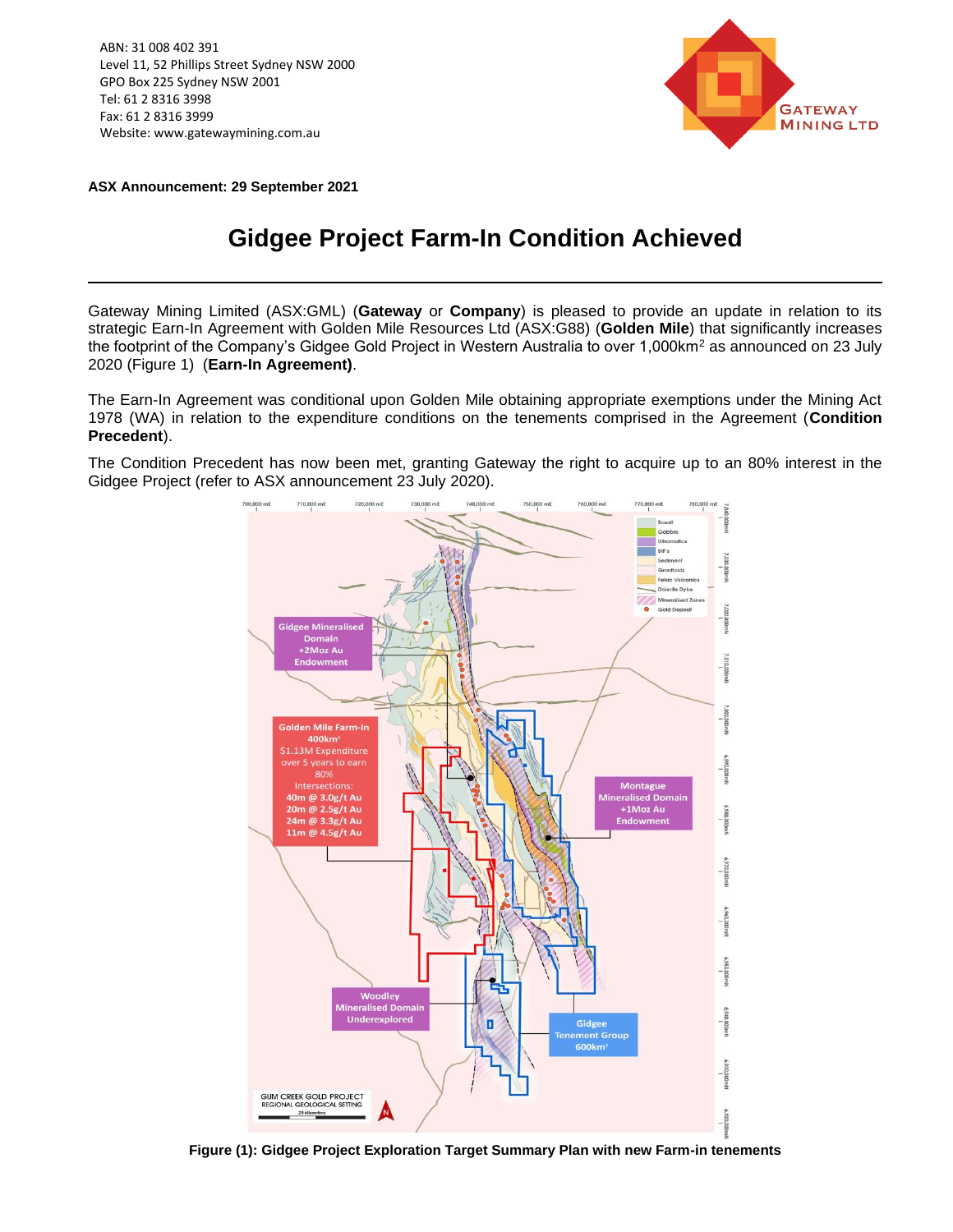ABN: 31 008 402 391 Level 11, 52 Phillips Street Sydney NSW 2000 GPO Box 225 Sydney NSW 2001 Tel: 61 2 8316 3998 Fax: 61 2 8316 3999 Website: www.gatewaymining.com.au



**ASX Announcement: 29 September 2021**

## **Gidgee Project Farm-In Condition Achieved**

Gateway Mining Limited (ASX:GML) (**Gateway** or **Company**) is pleased to provide an update in relation to its strategic Earn-In Agreement with Golden Mile Resources Ltd (ASX:G88) (**Golden Mile**) that significantly increases the footprint of the Company's Gidgee Gold Project in Western Australia to over 1,000km<sup>2</sup> as announced on 23 July 2020 (Figure 1) (**Earn-In Agreement)**.

The Earn-In Agreement was conditional upon Golden Mile obtaining appropriate exemptions under the Mining Act 1978 (WA) in relation to the expenditure conditions on the tenements comprised in the Agreement (**Condition Precedent**).

The Condition Precedent has now been met, granting Gateway the right to acquire up to an 80% interest in the Gidgee Project (refer to ASX announcement 23 July 2020).



**Figure (1): Gidgee Project Exploration Target Summary Plan with new Farm-in tenements**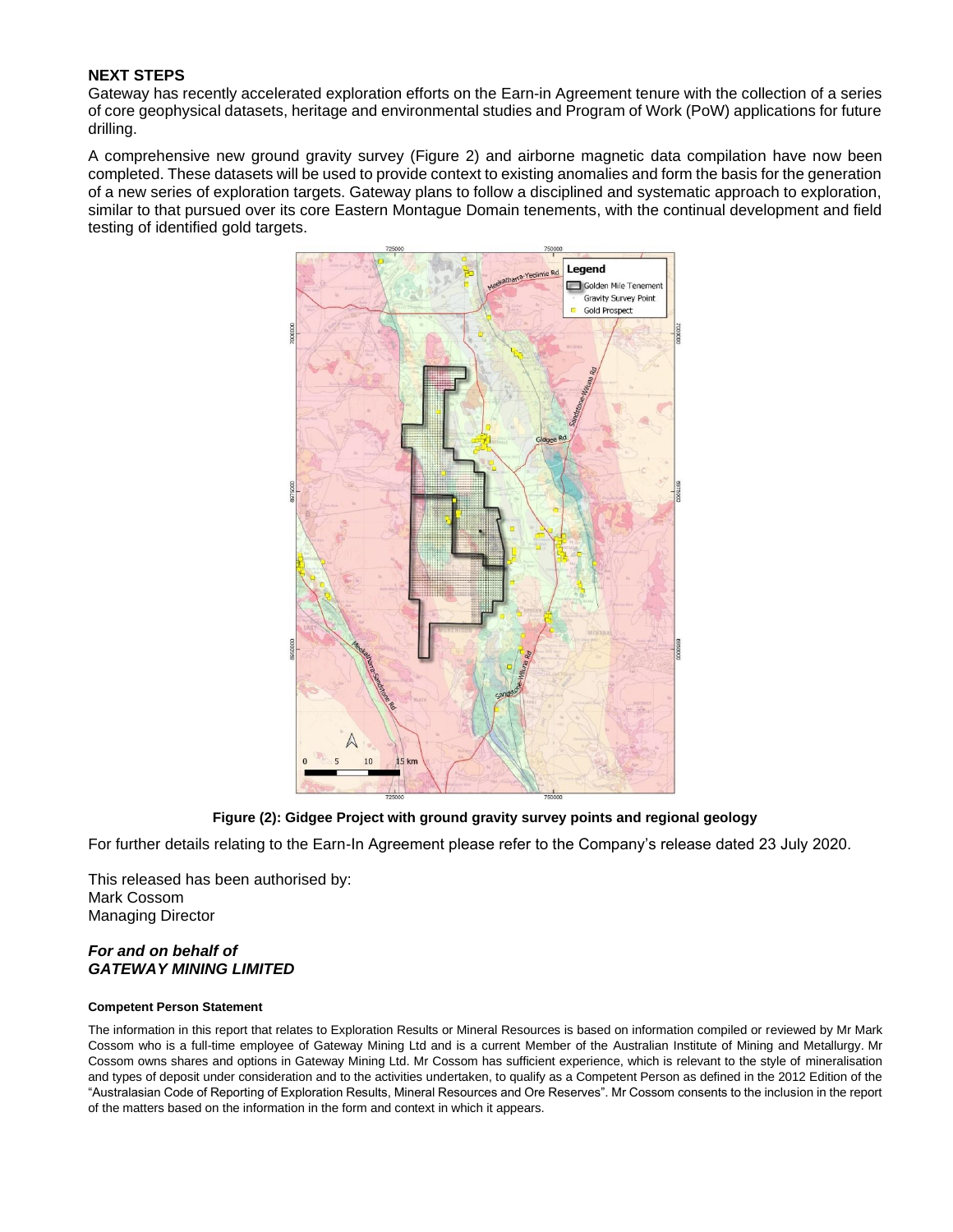## **NEXT STEPS**

Gateway has recently accelerated exploration efforts on the Earn-in Agreement tenure with the collection of a series of core geophysical datasets, heritage and environmental studies and Program of Work (PoW) applications for future drilling.

A comprehensive new ground gravity survey (Figure 2) and airborne magnetic data compilation have now been completed. These datasets will be used to provide context to existing anomalies and form the basis for the generation of a new series of exploration targets. Gateway plans to follow a disciplined and systematic approach to exploration, similar to that pursued over its core Eastern Montague Domain tenements, with the continual development and field testing of identified gold targets.



**Figure (2): Gidgee Project with ground gravity survey points and regional geology**

For further details relating to the Earn-In Agreement please refer to the Company's release dated 23 July 2020.

This released has been authorised by: Mark Cossom Managing Director

## *For and on behalf of GATEWAY MINING LIMITED*

## **Competent Person Statement**

The information in this report that relates to Exploration Results or Mineral Resources is based on information compiled or reviewed by Mr Mark Cossom who is a full-time employee of Gateway Mining Ltd and is a current Member of the Australian Institute of Mining and Metallurgy. Mr Cossom owns shares and options in Gateway Mining Ltd. Mr Cossom has sufficient experience, which is relevant to the style of mineralisation and types of deposit under consideration and to the activities undertaken, to qualify as a Competent Person as defined in the 2012 Edition of the "Australasian Code of Reporting of Exploration Results, Mineral Resources and Ore Reserves". Mr Cossom consents to the inclusion in the report of the matters based on the information in the form and context in which it appears.